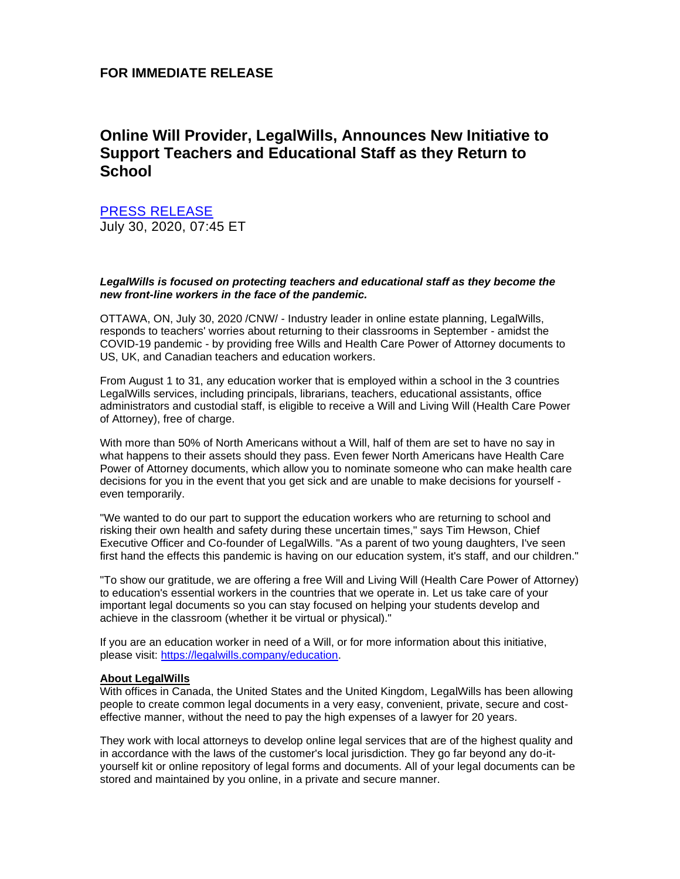## **FOR IMMEDIATE RELEASE**

# **Online Will Provider, LegalWills, Announces New Initiative to Support Teachers and Educational Staff as they Return to School**

## [PRESS RELEASE](https://www.newswire.ca/news-releases/online-will-provider-legalwills-announces-new-initiative-to-support-teachers-and-educational-staff-as-they-return-to-school-800768451.html)

July 30, 2020, 07:45 ET

### *LegalWills is focused on protecting teachers and educational staff as they become the new front-line workers in the face of the pandemic.*

OTTAWA, ON, July 30, 2020 /CNW/ - Industry leader in online estate planning, LegalWills, responds to teachers' worries about returning to their classrooms in September - amidst the COVID-19 pandemic - by providing free Wills and Health Care Power of Attorney documents to US, UK, and Canadian teachers and education workers.

From August 1 to 31, any education worker that is employed within a school in the 3 countries LegalWills services, including principals, librarians, teachers, educational assistants, office administrators and custodial staff, is eligible to receive a Will and Living Will (Health Care Power of Attorney), free of charge.

With more than 50% of North Americans without a Will, half of them are set to have no say in what happens to their assets should they pass. Even fewer North Americans have Health Care Power of Attorney documents, which allow you to nominate someone who can make health care decisions for you in the event that you get sick and are unable to make decisions for yourself even temporarily.

"We wanted to do our part to support the education workers who are returning to school and risking their own health and safety during these uncertain times," says Tim Hewson, Chief Executive Officer and Co-founder of LegalWills. "As a parent of two young daughters, I've seen first hand the effects this pandemic is having on our education system, it's staff, and our children."

"To show our gratitude, we are offering a free Will and Living Will (Health Care Power of Attorney) to education's essential workers in the countries that we operate in. Let us take care of your important legal documents so you can stay focused on helping your students develop and achieve in the classroom (whether it be virtual or physical)."

If you are an education worker in need of a Will, or for more information about this initiative, please visit: [https://legalwills.company/education.](https://c212.net/c/link/?t=0&l=en&o=2871510-1&h=2354720675&u=https%3A%2F%2Flegalwills.company%2Feducation.aspx&a=https%3A%2F%2Flegalwills.company%2Feducation)

#### **About LegalWills**

With offices in Canada, the United States and the United Kingdom, LegalWills has been allowing people to create common legal documents in a very easy, convenient, private, secure and costeffective manner, without the need to pay the high expenses of a lawyer for 20 years.

They work with local attorneys to develop online legal services that are of the highest quality and in accordance with the laws of the customer's local jurisdiction. They go far beyond any do-ityourself kit or online repository of legal forms and documents. All of your legal documents can be stored and maintained by you online, in a private and secure manner.